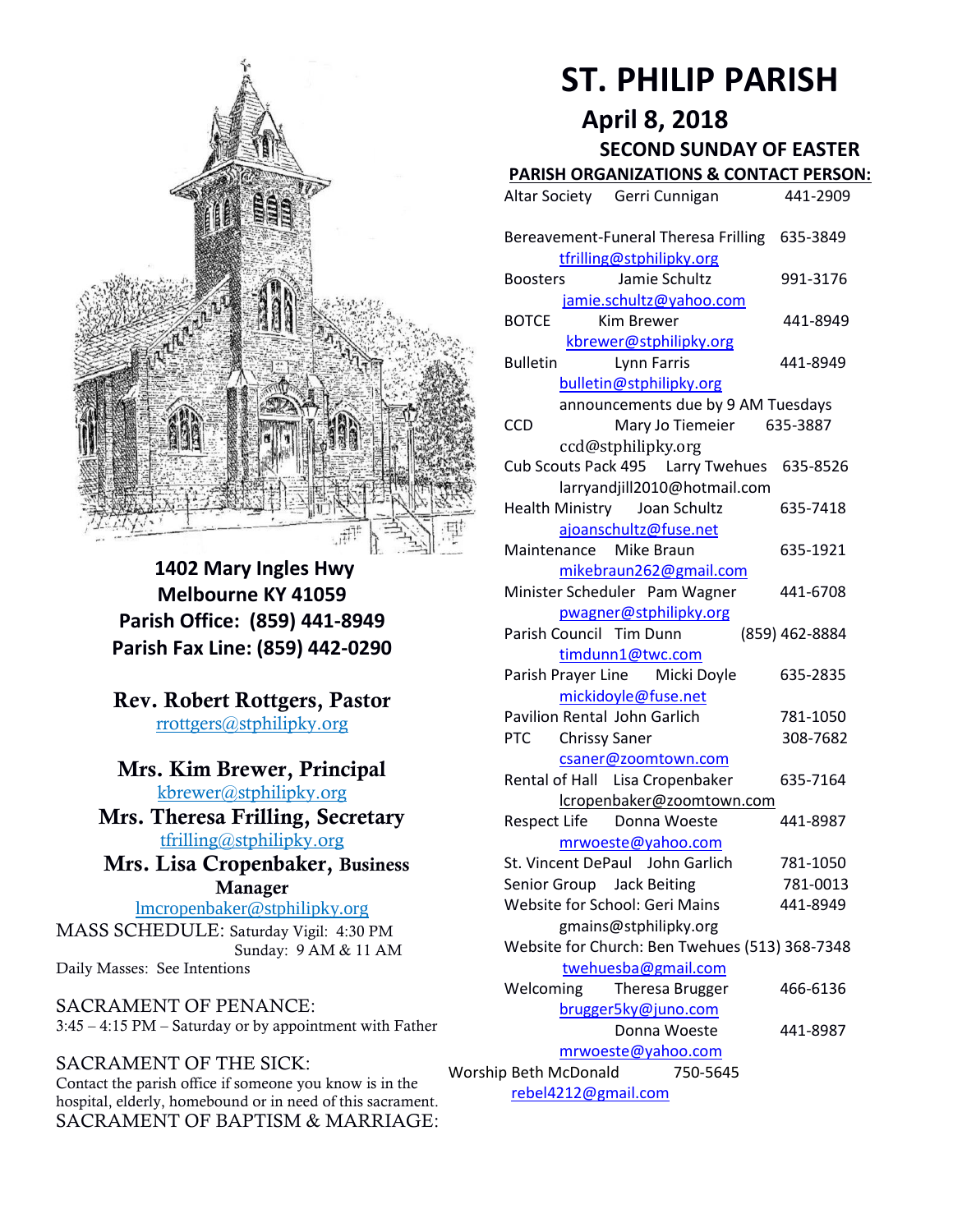

**1402 Mary Ingles Hwy Melbourne KY 41059 Parish Office: (859) 441-8949 Parish Fax Line: (859) 442-0290**

**Rev. Robert Rottgers, Pastor**  [rrottgers@stphilipky.org](mailto:rrottgers@stphilipky.org)

### **Mrs. Kim Brewer, Principal**

[kbrewer@stphilipky.org](mailto:kbrewer@stphilipky.org) **Mrs. Theresa Frilling, Secretary**  [tfrilling@stphilipky.org](mailto:tfrilling@stphilipky.org)

 **Mrs. Lisa Cropenbaker, Business Manager** 

lmcropenbaker@stphilipky.org MASS SCHEDULE: Saturday Vigil: 4:30 PM Sunday: 9 AM & 11 AM Daily Masses: See Intentions

SACRAMENT OF PENANCE: 3:45 – 4:15 PM – Saturday or by appointment with Father

#### SACRAMENT OF THE SICK:

Contact the parish office if someone you know is in the hospital, elderly, homebound or in need of this sacrament. SACRAMENT OF BAPTISM & MARRIAGE:

# **ST. PHILIP PARISH**

**April 8, 2018**

 **SECOND SUNDAY OF EASTER** 

## **PARISH ORGANIZATIONS & CONTACT PERSON:**

|                                                         | Altar Society Gerri Cunnigan                                            | 441-2909             |  |
|---------------------------------------------------------|-------------------------------------------------------------------------|----------------------|--|
|                                                         | Bereavement-Funeral Theresa Frilling<br>tfrilling@stphilipky.org        | 635-3849             |  |
|                                                         | Jamie Schultz<br><b>Boosters</b><br>jamie.schultz@yahoo.com             | 991-3176             |  |
|                                                         | Kim Brewer<br><b>BOTCE</b><br>kbrewer@stphilipky.org                    | 441-8949             |  |
|                                                         | <b>Bulletin</b><br><b>Lynn Farris</b><br>bulletin@stphilipky.org        | 441-8949             |  |
|                                                         | announcements due by 9 AM Tuesdays<br>CCD<br>Mary Jo Tiemeier           | 635-3887             |  |
|                                                         | ccd@stphilipky.org<br>Cub Scouts Pack 495   Larry Twehues               | 635-8526             |  |
|                                                         | larryandjill2010@hotmail.com<br><b>Health Ministry</b><br>Joan Schultz  | 635-7418             |  |
|                                                         | ajoanschultz@fuse.net<br>Maintenance Mike Braun                         | 635-1921             |  |
|                                                         | mikebraun262@gmail.com<br>Minister Scheduler Pam Wagner                 | 441-6708             |  |
|                                                         | pwagner@stphilipky.org<br>Parish Council Tim Dunn                       | (859) 462-8884       |  |
|                                                         | timdunn1@twc.com<br>Parish Prayer Line Micki Doyle                      | 635-2835             |  |
|                                                         | mickidoyle@fuse.net<br><b>Pavilion Rental John Garlich</b>              | 781-1050             |  |
|                                                         | <b>Chrissy Saner</b><br><b>PTC</b><br>csaner@zoomtown.com               | 308-7682             |  |
|                                                         | Rental of Hall<br>Lisa Cropenbaker<br>lcropenbaker@zoomtown.com         | 635-7164             |  |
|                                                         | <b>Respect Life</b><br>Donna Woeste<br>mrwoeste@yahoo.com               | 441-8987             |  |
|                                                         | St. Vincent DePaul John Garlich<br>Senior Group<br><b>Jack Beiting</b>  | 781-1050<br>781-0013 |  |
|                                                         | Website for School: Geri Mains                                          | 441-8949             |  |
|                                                         | gmains@stphilipky.org<br>Website for Church: Ben Twehues (513) 368-7348 |                      |  |
|                                                         | twehuesba@gmail.com<br>Welcoming<br>Theresa Brugger                     | 466-6136             |  |
|                                                         | brugger5ky@juno.com<br>Donna Woeste                                     | 441-8987             |  |
| mrwoeste@yahoo.com<br>Worship Beth McDonald<br>750-5645 |                                                                         |                      |  |
| rebel4212@gmail.com                                     |                                                                         |                      |  |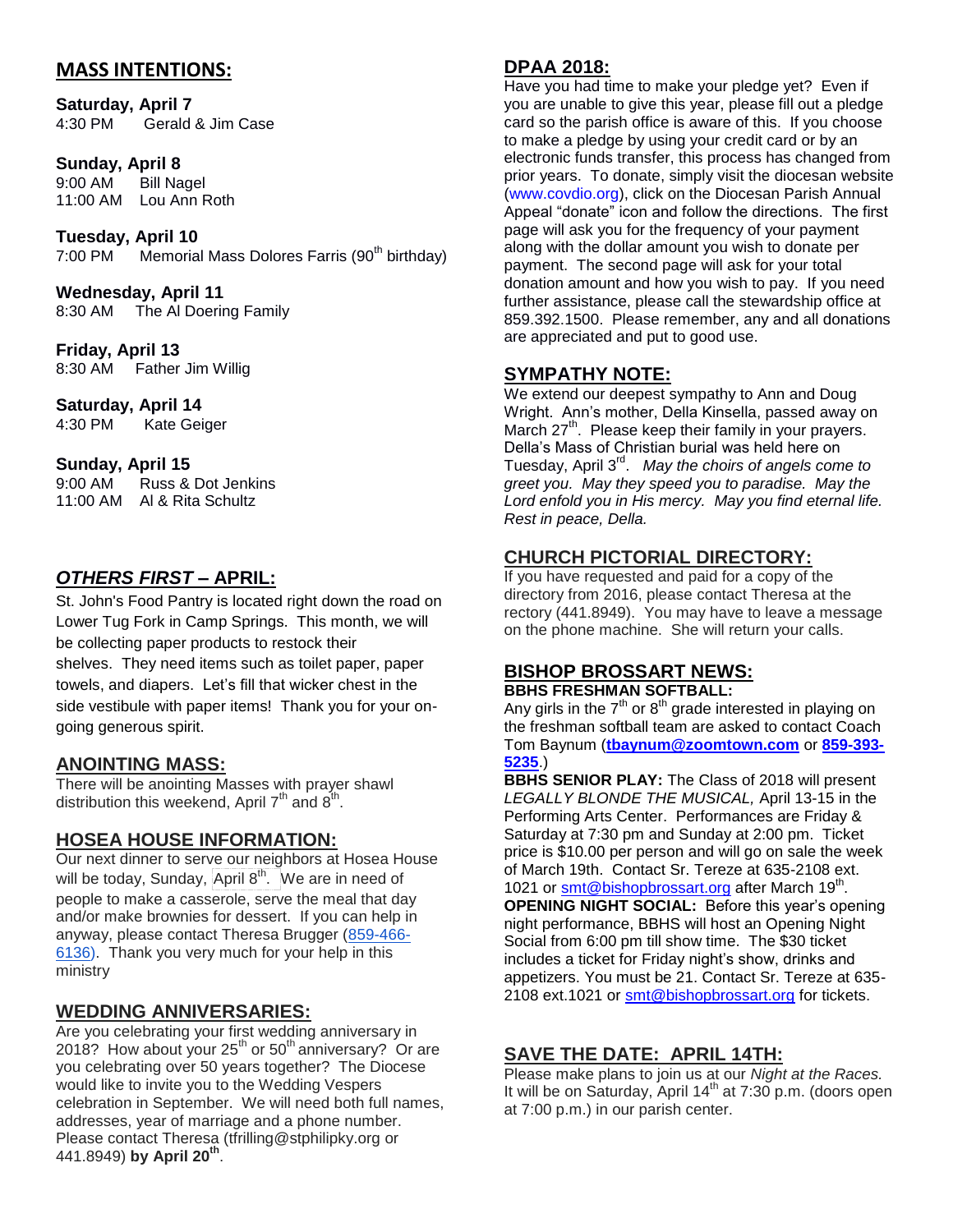#### **MASS INTENTIONS:**

**Saturday, April 7** 4:30 PM Gerald & Jim Case

#### **Sunday, April 8**

9:00 AM Bill Nagel 11:00 AM Lou Ann Roth

## **Tuesday, April 10**

Memorial Mass Dolores Farris (90<sup>th</sup> birthday)

**Wednesday, April 11** 8:30 AM The Al Doering Family

**Friday, April 13**  8:30 AM Father Jim Willig

**Saturday, April 14** 4:30 PM Kate Geiger

#### **Sunday, April 15**

| 9:00 AM  | Russ & Dot Jenkins |
|----------|--------------------|
| 11:00 AM | Al & Rita Schultz  |

#### *OTHERS FIRST –* **APRIL:**

St. John's Food Pantry is located right down the road on Lower Tug Fork in Camp Springs. This month, we will be collecting paper products to restock their shelves. They need items such as toilet paper, paper towels, and diapers. Let's fill that wicker chest in the side vestibule with paper items! Thank you for your ongoing generous spirit.

#### **ANOINTING MASS:**

There will be anointing Masses with prayer shawl distribution this weekend, April  $7<sup>th</sup>$  and  $8<sup>th</sup>$ .

#### **HOSEA HOUSE INFORMATION:**

Our next dinner to serve our neighbors at Hosea House will be today, Sunday, April 8<sup>th</sup>. We are in need of people to make a casserole, serve the meal that day and/or make brownies for dessert. If you can help in anyway, please contact Theresa Brugger [\(859-466-](tel:(859)%20466-6136) [6136\)](tel:(859)%20466-6136). Thank you very much for your help in this ministry

#### **WEDDING ANNIVERSARIES:**

Are you celebrating your first wedding anniversary in 2018? How about your  $25<sup>th</sup>$  or  $50<sup>th</sup>$  anniversary? Or are you celebrating over 50 years together? The Diocese would like to invite you to the Wedding Vespers celebration in September. We will need both full names, addresses, year of marriage and a phone number. Please contact Theresa [\(tfrilling@stphilipky.org](mailto:tfrilling@stphilipky.org) or 441.8949) **by April 20th** .

#### **DPAA 2018:**

Have you had time to make your pledge yet? Even if you are unable to give this year, please fill out a pledge card so the parish office is aware of this. If you choose to make a pledge by using your credit card or by an electronic funds transfer, this process has changed from prior years. To donate, simply visit the diocesan website [\(www.covdio.org\)](http://www.covdio.org/), click on the Diocesan Parish Annual Appeal "donate" icon and follow the directions. The first page will ask you for the frequency of your payment along with the dollar amount you wish to donate per payment. The second page will ask for your total donation amount and how you wish to pay. If you need further assistance, please call the stewardship office at 859.392.1500. Please remember, any and all donations are appreciated and put to good use.

#### **SYMPATHY NOTE:**

We extend our deepest sympathy to Ann and Doug Wright. Ann's mother, Della Kinsella, passed away on March 27<sup>th</sup>. Please keep their family in your prayers. Della's Mass of Christian burial was held here on Tuesday, April 3rd . *May the choirs of angels come to greet you. May they speed you to paradise. May the Lord enfold you in His mercy. May you find eternal life. Rest in peace, Della.* 

#### **CHURCH PICTORIAL DIRECTORY:**

If you have requested and paid for a copy of the directory from 2016, please contact Theresa at the rectory (441.8949). You may have to leave a message on the phone machine. She will return your calls.

#### **BISHOP BROSSART NEWS: BBHS FRESHMAN SOFTBALL:**

Any girls in the  $7<sup>th</sup>$  or  $8<sup>th</sup>$  grade interested in playing on the freshman softball team are asked to contact Coach Tom Baynum (**[tbaynum@zoomtown.com](mailto:tbaynum@zoomtown.com)** or **[859-393-](tel:(859)%20393-5235) [5235](tel:(859)%20393-5235)**.)

**BBHS SENIOR PLAY:** The Class of 2018 will present *LEGALLY BLONDE THE MUSICAL,* April 13-15 in the Performing Arts Center. Performances are Friday & Saturday at 7:30 pm and Sunday at 2:00 pm. Ticket price is \$10.00 per person and will go on sale the week of March 19th. Contact Sr. Tereze at 635-2108 ext. 1021 or **smt@bishopbrossart.org** after March 19<sup>th</sup>. **OPENING NIGHT SOCIAL:** Before this year's opening night performance, BBHS will host an Opening Night Social from 6:00 pm till show time. The \$30 ticket includes a ticket for Friday night's show, drinks and appetizers. You must be 21. Contact Sr. Tereze at 635 2108 ext.1021 or [smt@bishopbrossart.org](mailto:smt@bishopbrossart.org) for tickets.

#### **SAVE THE DATE: APRIL 14TH:**

Please make plans to join us at our *Night at the Races.* It will be on Saturday, April  $14<sup>th</sup>$  at 7:30 p.m. (doors open at 7:00 p.m.) in our parish center.